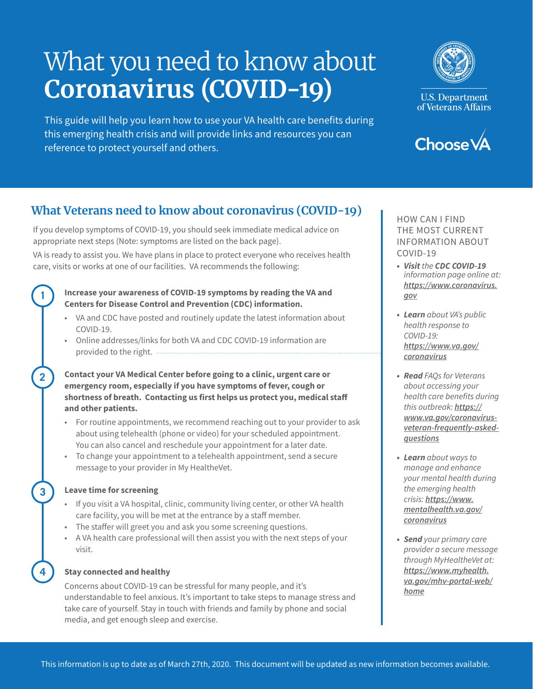# What you need to know about **Coronavirus (COVID-19)**

This guide will help you learn how to use your VA health care benefits during this emerging health crisis and will provide links and resources you can reference to protect yourself and others.



**U.S. Department** of Veterans Affairs



## **What Veterans need to know about coronavirus (COVID-19)**

If you develop symptoms of COVID-19, you should seek immediate medical advice on appropriate next steps (Note: symptoms are listed on the back page).

VA is ready to assist you. We have plans in place to protect everyone who receives health care, visits or works at one of our facilities. VA recommends the following:

## **Increase your awareness of COVID-19 symptoms by reading the VA and Centers for Disease Control and Prevention (CDC) information.**

- VA and CDC have posted and routinely update the latest information about COVID-19.
- • Online addresses/links for both VA and CDC COVID-19 information are provided to the right.

## **Contact your VA Medical Center before going to a clinic, urgent care or emergency room, especially if you have symptoms of fever, cough or shortness of breath. Contacting us first helps us protect you, medical staff and other patients.**

- • For routine appointments, we recommend reaching out to your provider to ask about using telehealth (phone or video) for your scheduled appointment. You can also cancel and reschedule your appointment for a later date.
- To change your appointment to a telehealth appointment, send a secure message to your provider in My HealtheVet.

## **Leave time for screening**

**1** 

**2** 

**3** 

**4** 

- If you visit a VA hospital, clinic, community living center, or other VA health care facility, you will be met at the entrance by a staff member.
- The staffer will greet you and ask you some screening questions.
- • A VA health care professional will then assist you with the next steps of your visit.

## **Stay connected and healthy**

Concerns about COVID-19 can be stressful for many people, and it's understandable to feel anxious. It's important to take steps to manage stress and take care of yourself. Stay in touch with friends and family by phone and social media, and get enough sleep and exercise.

HOW CAN I FIND THE MOST CURRENT INFORMATION ABOUT COVID-19

- *Visit the CDC COVID-19 information page online at: [https://www.coronavirus.](https://www.coronavirus.gov) [gov](https://www.coronavirus.gov)*
- *Learn about VA's public health response to COVID-19: [https://www.va.gov/](https://www.va.gov/coronavirus)  [coronavirus](https://www.va.gov/coronavirus)*
- *Read FAQs for Veterans about accessing your*  health care benefits during *this outbreak: [https://](https://www.va.gov/coronavirus-veteran-frequently-asked-questions)  [www.va.gov/coronavirus](https://www.va.gov/coronavirus-veteran-frequently-asked-questions)[veteran-frequently-asked](https://www.va.gov/coronavirus-veteran-frequently-asked-questions)[questions](https://www.va.gov/coronavirus-veteran-frequently-asked-questions)*
- *Learn about ways to*  manage and enhance your mental health during *the emerging health crisis: [https://www.](https://www.mentalhealth.va.gov/coronavirus) [mentalhealth.va.gov/](https://www.mentalhealth.va.gov/coronavirus) [coronavirus](https://www.mentalhealth.va.gov/coronavirus)*
- *Send your primary care*  provider a secure message *through MyHealtheVet at: [https://www.myhealth.](https://www.myhealth.va.gov/mhv-portal-web/home)  [va.gov/mhv-portal-web/](https://www.myhealth.va.gov/mhv-portal-web/home) [home](https://www.myhealth.va.gov/mhv-portal-web/home)*